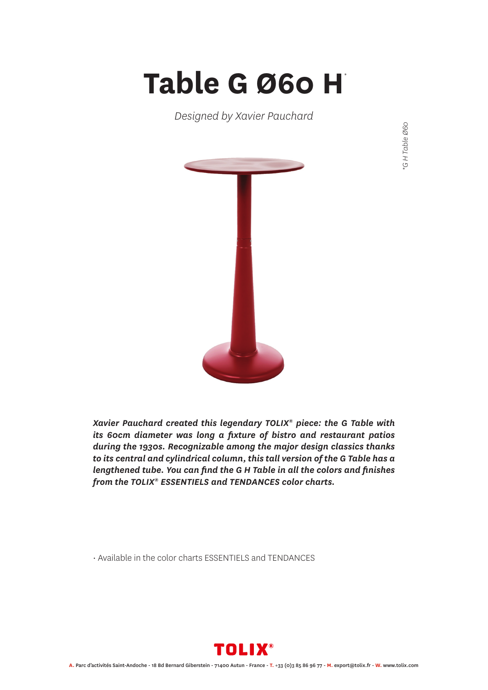## **Table G Ø60 H** *\**

*Designed by Xavier Pauchard*



GH Table Ø60 *\*G H Table Ø60*

*Xavier Pauchard created this legendary TOLIX® piece: the G Table with its 60cm diameter was long a fixture of bistro and restaurant patios during the 1930s. Recognizable among the major design classics thanks to its central and cylindrical column, this tall version of the G Table has a lengthened tube. You can find the G H Table in all the colors and finishes from the TOLIX® ESSENTIELS and TENDANCES color charts.*

• Available in the color charts ESSENTIELS and TENDANCES